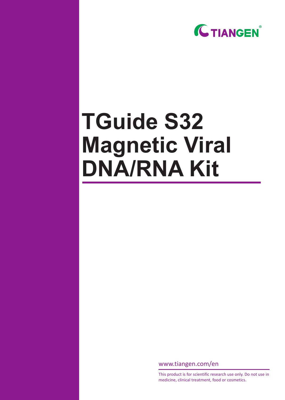

# **TGuide S32 Magnetic Viral DNA/RNA Kit**

www.tiangen.com/en

This product is for scientific research use only. Do not use in medicine, clinical treatment, food or cosmetics.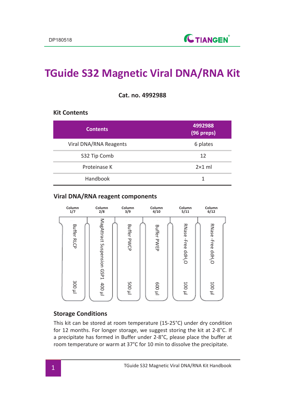## **TGuide S32 Magnetic Viral DNA/RNA Kit**

**Cat. no. 4992988**

#### **Kit Contents**

| <b>Contents</b>        | 4992988<br>(96 preps) |
|------------------------|-----------------------|
| Viral DNA/RNA Reagents | 6 plates              |
| S32 Tip Comb           | 12                    |
| Proteinase K           | $2\times1$ ml         |
| Handbook               | 1                     |

#### **Viral DNA/RNA reagent components**



#### **Storage Conditions**

This kit can be stored at room temperature (15-25°C) under dry condition for 12 months. For longer storage, we suggest storing the kit at 2-8°C. If a precipitate has formed in Buffer under 2-8°C, please place the buffer at room temperature or warm at 37°C for 10 min to dissolve the precipitate.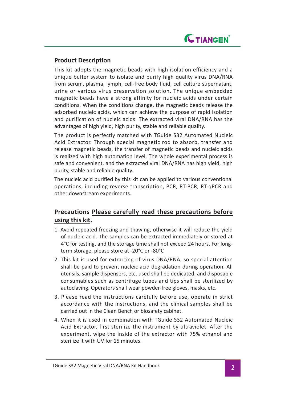

#### **Product Description**

This kit adopts the magnetic beads with high isolation efficiency and a unique buffer system to isolate and purify high quality virus DNA/RNA from serum, plasma, lymph, cell-free body fluid, cell culture supernatant, urine or various virus preservation solution. The unique embedded magnetic beads have a strong affinity for nucleic acids under certain conditions. When the conditions change, the magnetic beads release the adsorbed nucleic acids, which can achieve the purpose of rapid isolation and purification of nucleic acids. The extracted viral DNA/RNA has the advantages of high yield, high purity, stable and reliable quality.

The product is perfectly matched with TGuide S32 Automated Nucleic Acid Extractor. Through special magnetic rod to absorb, transfer and release magnetic beads, the transfer of magnetic beads and nucleic acids is realized with high automation level. The whole experimental process is safe and convenient, and the extracted viral DNA/RNA has high yield, high purity, stable and reliable quality.

The nucleic acid purified by this kit can be applied to various conventional operations, including reverse transcription, PCR, RT-PCR, RT-qPCR and other downstream experiments.

### **Precautions Please carefully read these precautions before using this kit.**

- 1. Avoid repeated freezing and thawing, otherwise it will reduce the yield of nucleic acid. The samples can be extracted immediately or stored at 4°C for testing, and the storage time shall not exceed 24 hours. For longterm storage, please store at -20°C or -80°C
- 2. This kit is used for extracting of virus DNA/RNA, so special attention shall be paid to prevent nucleic acid degradation during operation. All utensils, sample dispensers, etc. used shall be dedicated, and disposable consumables such as centrifuge tubes and tips shall be sterilized by autoclaving. Operators shall wear powder-free gloves, masks, etc.
- 3. Please read the instructions carefully before use, operate in strict accordance with the instructions, and the clinical samples shall be carried out in the Clean Bench or biosafety cabinet.
- 4. When it is used in combination with TGuide S32 Automated Nucleic Acid Extractor, first sterilize the instrument by ultraviolet. After the experiment, wipe the inside of the extractor with 75% ethanol and sterilize it with UV for 15 minutes.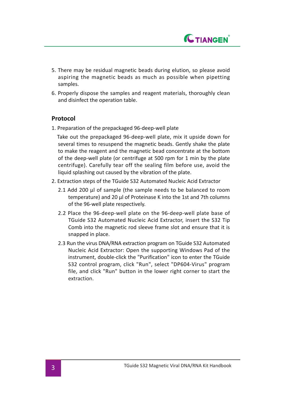

- 5. There may be residual magnetic beads during elution, so please avoid aspiring the magnetic beads as much as possible when pipetting samples.
- 6. Properly dispose the samples and reagent materials, thoroughly clean and disinfect the operation table.

#### **Protocol**

1. Preparation of the prepackaged 96-deep-well plate

 Take out the prepackaged 96-deep-well plate, mix it upside down for several times to resuspend the magnetic beads. Gently shake the plate to make the reagent and the magnetic bead concentrate at the bottom of the deep-well plate (or centrifuge at 500 rpm for 1 min by the plate centrifuge). Carefully tear off the sealing film before use, avoid the liquid splashing out caused by the vibration of the plate.

- 2. Extraction steps of the TGuide S32 Automated Nucleic Acid Extractor
	- 2.1 Add 200 μl of sample (the sample needs to be balanced to room temperature) and 20 μl of Proteinase K into the 1st and 7th columns of the 96-well plate respectively.
	- 2.2 Place the 96-deep-well plate on the 96-deep-well plate base of TGuide S32 Automated Nucleic Acid Extractor, insert the S32 Tip Comb into the magnetic rod sleeve frame slot and ensure that it is snapped in place.
	- 2.3 Run the virus DNA/RNA extraction program on TGuide S32 Automated Nucleic Acid Extractor: Open the supporting Windows Pad of the instrument, double-click the "Purification" icon to enter the TGuide S32 control program, click "Run", select "DP604-Virus" program file, and click "Run" button in the lower right corner to start the extraction.